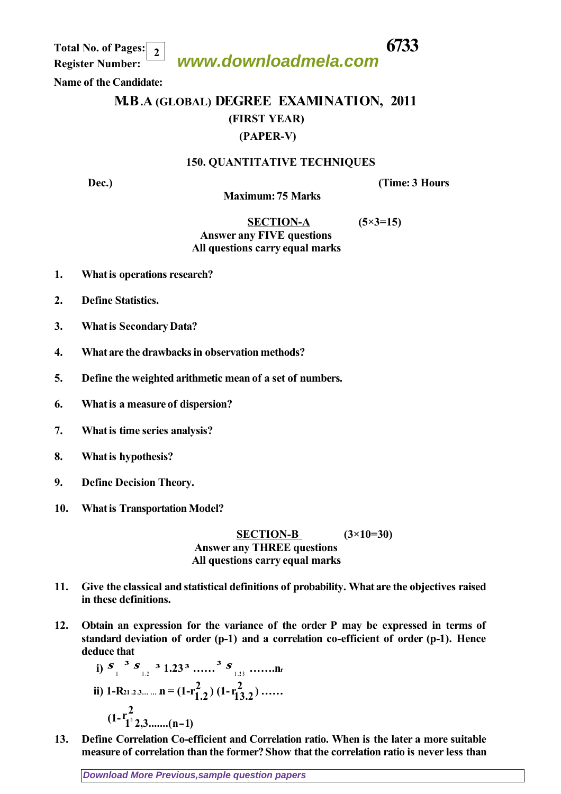**www.downloadmela.com Total No. of Pages: 6733**

 **Register Number: 2**

 **Name of the Candidate:**

## **M.B.A (GLOBAL) DEGREE EXAMINATION, 2011 (FIRST YEAR) (PAPER-V)**

## **150. QUANTITATIVE TECHNIQUES**

**Dec.**) *CONS*  $(Time: 3)$  *Hours*  $(Time: 3)$ 

 **Maximum: 75 Marks** 

## **SECTION-A (5×3=15)** *Answer any FIVE questions All questions carry equal marks*

- **1. What is operations research?**
- **2. Define Statistics.**
- **3. What is Secondary Data?**
- **4. What are the drawbacks in observation methods?**
- **5. Define the weighted arithmetic mean of a set of numbers.**
- **6. What is a measure of dispersion?**
- **7. What is time series analysis?**
- **8. What is hypothesis?**
- **9. Define Decision Theory.**
- **10. What is Transportation Model?**

 **SECTION-B (3×10=30)** *Answer any THREE questions All questions carry equal marks*

- **11. Give the classical and statistical definitions of probability. What are the objectives raised in these definitions.**
- **12. Obtain an expression for the variance of the order P may be expressed in terms of standard deviation of order (p-1) and a correlation co-efficient of order (p-1). Hence deduce that**

i) 
$$
S_{1}^3 S_{1,2}^3 1.23^3 \dots S_{1,2}^3 1.23 \dots Nr
$$
  
\nii)  $1-R_{21,2,3,\dots} n = (1-r_{1,2}^2) (1-r_{1,2}^2) \dots$   
\n $(1-r_{1}^2) (1-r_{1,2}^2) \dots$ 

**13. Define Correlation Co-efficient and Correlation ratio. When is the later a more suitable measure of correlation than the former? Show that the correlation ratio is never less than**